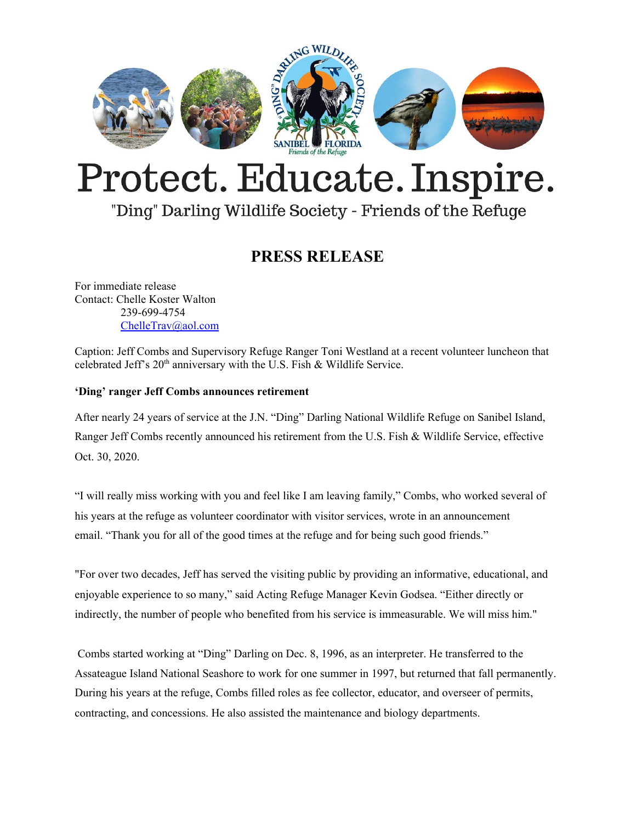

# Protect. Educate. Inspire.

## "Ding" Darling Wildlife Society - Friends of the Refuge

### **PRESS RELEASE**

For immediate release Contact: Chelle Koster Walton 239-699-4754 [ChelleTrav@aol.com](mailto:ChelleTrav@aol.com)

Caption: Jeff Combs and Supervisory Refuge Ranger Toni Westland at a recent volunteer luncheon that celebrated Jeff's  $20<sup>th</sup>$  anniversary with the U.S. Fish & Wildlife Service.

#### **'Ding' ranger Jeff Combs announces retirement**

After nearly 24 years of service at the J.N. "Ding" Darling National Wildlife Refuge on Sanibel Island, Ranger Jeff Combs recently announced his retirement from the U.S. Fish & Wildlife Service, effective Oct. 30, 2020.

"I will really miss working with you and feel like I am leaving family," Combs, who worked several of his years at the refuge as volunteer coordinator with visitor services, wrote in an announcement email. "Thank you for all of the good times at the refuge and for being such good friends."

"For over two decades, Jeff has served the visiting public by providing an informative, educational, and enjoyable experience to so many," said Acting Refuge Manager Kevin Godsea. "Either directly or indirectly, the number of people who benefited from his service is immeasurable. We will miss him."

Combs started working at "Ding" Darling on Dec. 8, 1996, as an interpreter. He transferred to the Assateague Island National Seashore to work for one summer in 1997, but returned that fall permanently. During his years at the refuge, Combs filled roles as fee collector, educator, and overseer of permits, contracting, and concessions. He also assisted the maintenance and biology departments.